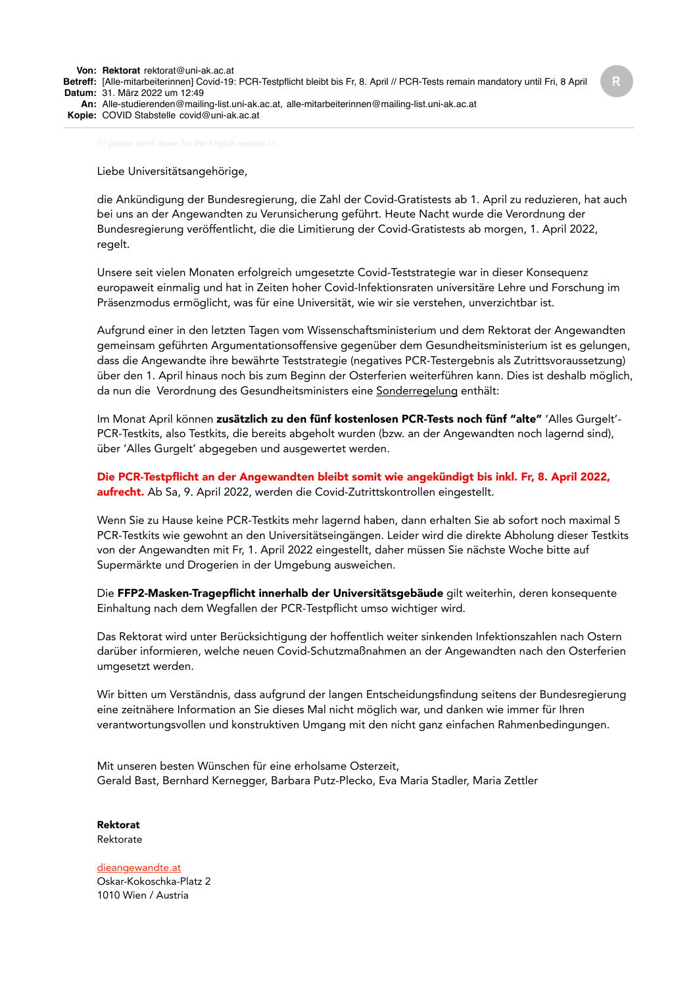Liebe Universitätsangehörige,

die Ankündigung der Bundesregierung, die Zahl der Covid-Gratistests ab 1. April zu reduzieren, hat auch bei uns an der Angewandten zu Verunsicherung geführt. Heute Nacht wurde die Verordnung der Bundesregierung veröffentlicht, die die Limitierung der Covid-Gratistests ab morgen, 1. April 2022, regelt.

Unsere seit vielen Monaten erfolgreich umgesetzte Covid-Teststrategie war in dieser Konsequenz europaweit einmalig und hat in Zeiten hoher Covid-Infektionsraten universitäre Lehre und Forschung im Präsenzmodus ermöglicht, was für eine Universität, wie wir sie verstehen, unverzichtbar ist.

Aufgrund einer in den letzten Tagen vom Wissenschaftsministerium und dem Rektorat der Angewandten gemeinsam geführten Argumentationsoffensive gegenüber dem Gesundheitsministerium ist es gelungen, dass die Angewandte ihre bewährte Teststrategie (negatives PCR-Testergebnis als Zutrittsvoraussetzung) über den 1. April hinaus noch bis zum Beginn der Osterferien weiterführen kann. Dies ist deshalb möglich, da nun die Verordnung des Gesundheitsministers eine Sonderregelung enthält:

Im Monat April können zusätzlich zu den fünf kostenlosen PCR-Tests noch fünf "alte" 'Alles Gurgelt'-PCR-Testkits, also Testkits, die bereits abgeholt wurden (bzw. an der Angewandten noch lagernd sind), über 'Alles Gurgelt' abgegeben und ausgewertet werden.

Die PCR-Testpflicht an der Angewandten bleibt somit wie angekündigt bis inkl. Fr, 8. April 2022, aufrecht. Ab Sa, 9. April 2022, werden die Covid-Zutrittskontrollen eingestellt.

Wenn Sie zu Hause keine PCR-Testkits mehr lagernd haben, dann erhalten Sie ab sofort noch maximal 5 PCR-Testkits wie gewohnt an den Universitätseingängen. Leider wird die direkte Abholung dieser Testkits von der Angewandten mit Fr, 1. April 2022 eingestellt, daher müssen Sie nächste Woche bitte auf Supermärkte und Drogerien in der Umgebung ausweichen.

Die FFP2-Masken-Tragepflicht innerhalb der Universitätsgebäude gilt weiterhin, deren konsequente Einhaltung nach dem Wegfallen der PCR-Testpflicht umso wichtiger wird.

Das Rektorat wird unter Berücksichtigung der hoffentlich weiter sinkenden Infektionszahlen nach Ostern darüber informieren, welche neuen Covid-Schutzmaßnahmen an der Angewandten nach den Osterferien umgesetzt werden.

Wir bitten um Verständnis, dass aufgrund der langen Entscheidungsfindung seitens der Bundesregierung eine zeitnähere Information an Sie dieses Mal nicht möglich war, und danken wie immer für Ihren verantwortungsvollen und konstruktiven Umgang mit den nicht ganz einfachen Rahmenbedingungen.

Mit unseren besten Wünschen für eine erholsame Osterzeit, Gerald Bast, Bernhard Kernegger, Barbara Putz-Plecko, Eva Maria Stadler, Maria Zettler

Rektorat Rektorate

[dieangewandte.at](https://www.dieangewandte.at/) Oskar-Kokoschka-Platz 2 1010 Wien / Austria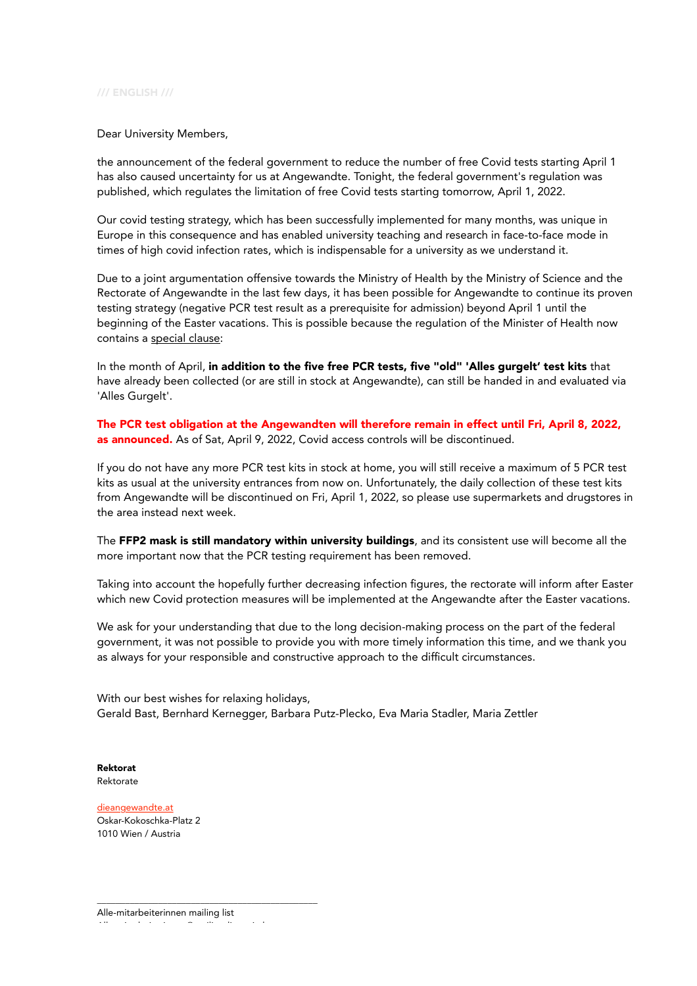## /// ENGLISH ///

## Dear University Members,

the announcement of the federal government to reduce the number of free Covid tests starting April 1 has also caused uncertainty for us at Angewandte. Tonight, the federal government's regulation was published, which regulates the limitation of free Covid tests starting tomorrow, April 1, 2022.

Our covid testing strategy, which has been successfully implemented for many months, was unique in Europe in this consequence and has enabled university teaching and research in face-to-face mode in times of high covid infection rates, which is indispensable for a university as we understand it.

Due to a joint argumentation offensive towards the Ministry of Health by the Ministry of Science and the Rectorate of Angewandte in the last few days, it has been possible for Angewandte to continue its proven testing strategy (negative PCR test result as a prerequisite for admission) beyond April 1 until the beginning of the Easter vacations. This is possible because the regulation of the Minister of Health now contains a special clause:

In the month of April, in addition to the five free PCR tests, five "old" 'Alles gurgelt' test kits that have already been collected (or are still in stock at Angewandte), can still be handed in and evaluated via 'Alles Gurgelt'.

The PCR test obligation at the Angewandten will therefore remain in effect until Fri, April 8, 2022, as announced. As of Sat, April 9, 2022, Covid access controls will be discontinued.

If you do not have any more PCR test kits in stock at home, you will still receive a maximum of 5 PCR test kits as usual at the university entrances from now on. Unfortunately, the daily collection of these test kits from Angewandte will be discontinued on Fri, April 1, 2022, so please use supermarkets and drugstores in the area instead next week.

The FFP2 mask is still mandatory within university buildings, and its consistent use will become all the more important now that the PCR testing requirement has been removed.

Taking into account the hopefully further decreasing infection figures, the rectorate will inform after Easter which new Covid protection measures will be implemented at the Angewandte after the Easter vacations.

We ask for your understanding that due to the long decision-making process on the part of the federal government, it was not possible to provide you with more timely information this time, and we thank you as always for your responsible and constructive approach to the difficult circumstances.

With our best wishes for relaxing holidays, Gerald Bast, Bernhard Kernegger, Barbara Putz-Plecko, Eva Maria Stadler, Maria Zettler

Rektorat Rektorate

[dieangewandte.at](https://www.dieangewandte.at/) Oskar-Kokoschka-Platz 2 1010 Wien / Austria

\_\_\_\_\_\_\_\_\_\_\_\_\_\_\_\_\_\_\_\_\_\_\_\_\_\_\_\_\_\_\_\_\_\_\_\_\_\_\_\_\_\_\_\_\_\_\_